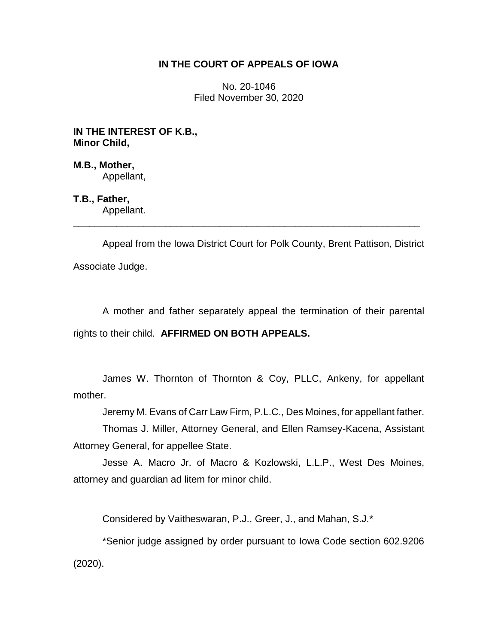# **IN THE COURT OF APPEALS OF IOWA**

No. 20-1046 Filed November 30, 2020

**IN THE INTEREST OF K.B., Minor Child,**

**M.B., Mother,** Appellant,

**T.B., Father,** Appellant.

Appeal from the Iowa District Court for Polk County, Brent Pattison, District Associate Judge.

\_\_\_\_\_\_\_\_\_\_\_\_\_\_\_\_\_\_\_\_\_\_\_\_\_\_\_\_\_\_\_\_\_\_\_\_\_\_\_\_\_\_\_\_\_\_\_\_\_\_\_\_\_\_\_\_\_\_\_\_\_\_\_\_

A mother and father separately appeal the termination of their parental rights to their child. **AFFIRMED ON BOTH APPEALS.**

James W. Thornton of Thornton & Coy, PLLC, Ankeny, for appellant mother.

Jeremy M. Evans of Carr Law Firm, P.L.C., Des Moines, for appellant father.

Thomas J. Miller, Attorney General, and Ellen Ramsey-Kacena, Assistant Attorney General, for appellee State.

Jesse A. Macro Jr. of Macro & Kozlowski, L.L.P., West Des Moines, attorney and guardian ad litem for minor child.

Considered by Vaitheswaran, P.J., Greer, J., and Mahan, S.J.\*

\*Senior judge assigned by order pursuant to Iowa Code section 602.9206 (2020).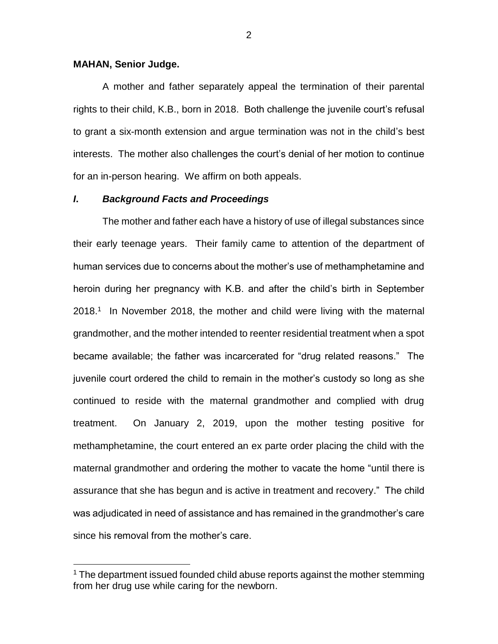#### **MAHAN, Senior Judge.**

 $\overline{a}$ 

A mother and father separately appeal the termination of their parental rights to their child, K.B., born in 2018. Both challenge the juvenile court's refusal to grant a six-month extension and argue termination was not in the child's best interests. The mother also challenges the court's denial of her motion to continue for an in-person hearing. We affirm on both appeals.

# *I***.** *Background Facts and Proceedings*

The mother and father each have a history of use of illegal substances since their early teenage years. Their family came to attention of the department of human services due to concerns about the mother's use of methamphetamine and heroin during her pregnancy with K.B. and after the child's birth in September 2018.<sup>1</sup> In November 2018, the mother and child were living with the maternal grandmother, and the mother intended to reenter residential treatment when a spot became available; the father was incarcerated for "drug related reasons." The juvenile court ordered the child to remain in the mother's custody so long as she continued to reside with the maternal grandmother and complied with drug treatment. On January 2, 2019, upon the mother testing positive for methamphetamine, the court entered an ex parte order placing the child with the maternal grandmother and ordering the mother to vacate the home "until there is assurance that she has begun and is active in treatment and recovery." The child was adjudicated in need of assistance and has remained in the grandmother's care since his removal from the mother's care.

 $1$  The department issued founded child abuse reports against the mother stemming from her drug use while caring for the newborn.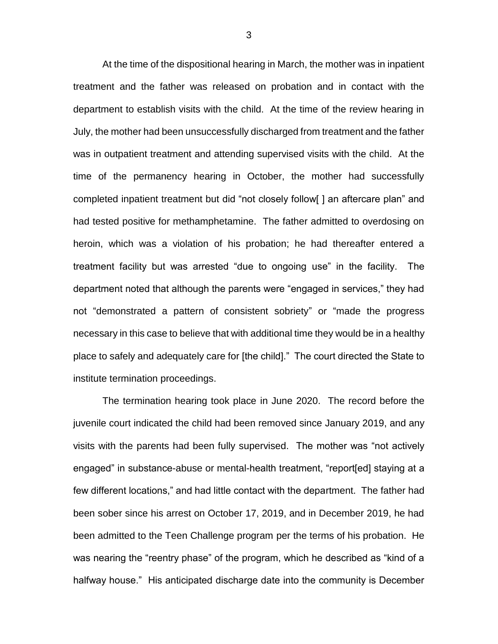At the time of the dispositional hearing in March, the mother was in inpatient treatment and the father was released on probation and in contact with the department to establish visits with the child. At the time of the review hearing in July, the mother had been unsuccessfully discharged from treatment and the father was in outpatient treatment and attending supervised visits with the child. At the time of the permanency hearing in October, the mother had successfully completed inpatient treatment but did "not closely follow[ ] an aftercare plan" and had tested positive for methamphetamine. The father admitted to overdosing on heroin, which was a violation of his probation; he had thereafter entered a treatment facility but was arrested "due to ongoing use" in the facility. The department noted that although the parents were "engaged in services," they had not "demonstrated a pattern of consistent sobriety" or "made the progress necessary in this case to believe that with additional time they would be in a healthy place to safely and adequately care for [the child]." The court directed the State to institute termination proceedings.

The termination hearing took place in June 2020. The record before the juvenile court indicated the child had been removed since January 2019, and any visits with the parents had been fully supervised. The mother was "not actively engaged" in substance-abuse or mental-health treatment, "report[ed] staying at a few different locations," and had little contact with the department. The father had been sober since his arrest on October 17, 2019, and in December 2019, he had been admitted to the Teen Challenge program per the terms of his probation. He was nearing the "reentry phase" of the program, which he described as "kind of a halfway house." His anticipated discharge date into the community is December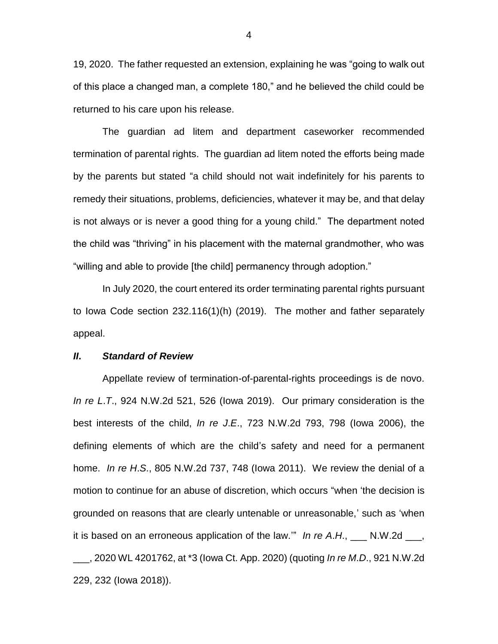19, 2020. The father requested an extension, explaining he was "going to walk out of this place a changed man, a complete 180," and he believed the child could be returned to his care upon his release.

The guardian ad litem and department caseworker recommended termination of parental rights. The guardian ad litem noted the efforts being made by the parents but stated "a child should not wait indefinitely for his parents to remedy their situations, problems, deficiencies, whatever it may be, and that delay is not always or is never a good thing for a young child." The department noted the child was "thriving" in his placement with the maternal grandmother, who was "willing and able to provide [the child] permanency through adoption."

In July 2020, the court entered its order terminating parental rights pursuant to Iowa Code section 232.116(1)(h) (2019). The mother and father separately appeal.

#### *II***.** *Standard of Review*

Appellate review of termination-of-parental-rights proceedings is de novo. *In re L*.*T*., 924 N.W.2d 521, 526 (Iowa 2019). Our primary consideration is the best interests of the child, *In re J*.*E*., 723 N.W.2d 793, 798 (Iowa 2006), the defining elements of which are the child's safety and need for a permanent home. *In re H*.*S*., 805 N.W.2d 737, 748 (Iowa 2011). We review the denial of a motion to continue for an abuse of discretion, which occurs "when 'the decision is grounded on reasons that are clearly untenable or unreasonable,' such as 'when it is based on an erroneous application of the law.'" *In re A*.*H*., \_\_\_ N.W.2d \_\_\_, \_\_\_, 2020 WL 4201762, at \*3 (Iowa Ct. App. 2020) (quoting *In re M*.*D*., 921 N.W.2d 229, 232 (Iowa 2018)).

4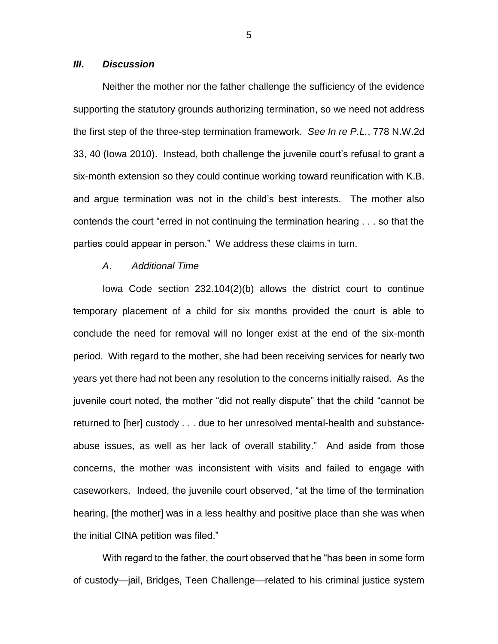# *III***.** *Discussion*

Neither the mother nor the father challenge the sufficiency of the evidence supporting the statutory grounds authorizing termination, so we need not address the first step of the three-step termination framework. *See In re P.L.*, 778 N.W.2d 33, 40 (Iowa 2010). Instead, both challenge the juvenile court's refusal to grant a six-month extension so they could continue working toward reunification with K.B. and argue termination was not in the child's best interests. The mother also contends the court "erred in not continuing the termination hearing . . . so that the parties could appear in person." We address these claims in turn.

### *A*. *Additional Time*

Iowa Code section 232.104(2)(b) allows the district court to continue temporary placement of a child for six months provided the court is able to conclude the need for removal will no longer exist at the end of the six-month period. With regard to the mother, she had been receiving services for nearly two years yet there had not been any resolution to the concerns initially raised. As the juvenile court noted, the mother "did not really dispute" that the child "cannot be returned to [her] custody . . . due to her unresolved mental-health and substanceabuse issues, as well as her lack of overall stability." And aside from those concerns, the mother was inconsistent with visits and failed to engage with caseworkers. Indeed, the juvenile court observed, "at the time of the termination hearing, [the mother] was in a less healthy and positive place than she was when the initial CINA petition was filed."

With regard to the father, the court observed that he "has been in some form of custody—jail, Bridges, Teen Challenge—related to his criminal justice system

5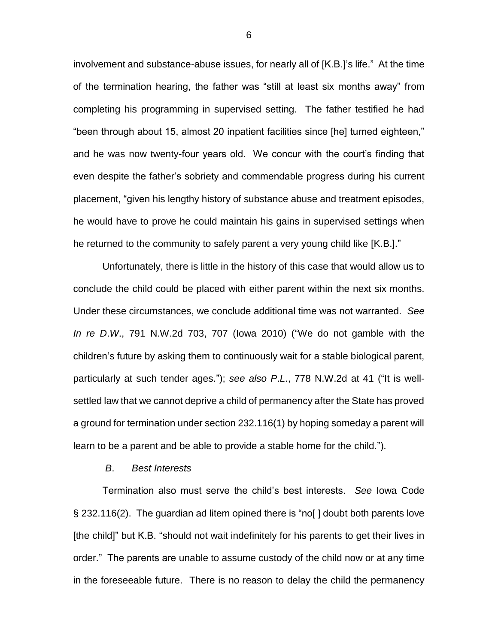involvement and substance-abuse issues, for nearly all of [K.B.]'s life." At the time of the termination hearing, the father was "still at least six months away" from completing his programming in supervised setting. The father testified he had "been through about 15, almost 20 inpatient facilities since [he] turned eighteen," and he was now twenty-four years old. We concur with the court's finding that even despite the father's sobriety and commendable progress during his current placement, "given his lengthy history of substance abuse and treatment episodes, he would have to prove he could maintain his gains in supervised settings when he returned to the community to safely parent a very young child like [K.B.]."

Unfortunately, there is little in the history of this case that would allow us to conclude the child could be placed with either parent within the next six months. Under these circumstances, we conclude additional time was not warranted. *See In re D*.*W*., 791 N.W.2d 703, 707 (Iowa 2010) ("We do not gamble with the children's future by asking them to continuously wait for a stable biological parent, particularly at such tender ages."); *see also P*.*L*., 778 N.W.2d at 41 ("It is wellsettled law that we cannot deprive a child of permanency after the State has proved a ground for termination under section 232.116(1) by hoping someday a parent will learn to be a parent and be able to provide a stable home for the child.").

#### *B*. *Best Interests*

Termination also must serve the child's best interests. *See* Iowa Code § 232.116(2). The guardian ad litem opined there is "no[ ] doubt both parents love [the child]" but K.B. "should not wait indefinitely for his parents to get their lives in order." The parents are unable to assume custody of the child now or at any time in the foreseeable future. There is no reason to delay the child the permanency

6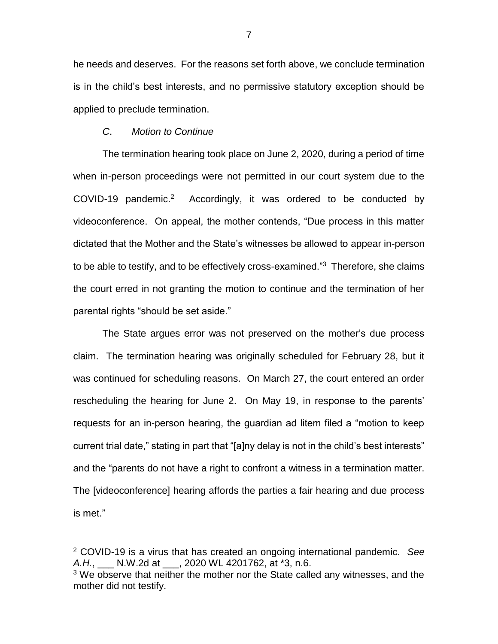he needs and deserves. For the reasons set forth above, we conclude termination is in the child's best interests, and no permissive statutory exception should be applied to preclude termination.

### *C*. *Motion to Continue*

 $\overline{a}$ 

The termination hearing took place on June 2, 2020, during a period of time when in-person proceedings were not permitted in our court system due to the COVID-19 pandemic.<sup>2</sup> Accordingly, it was ordered to be conducted by videoconference. On appeal, the mother contends, "Due process in this matter dictated that the Mother and the State's witnesses be allowed to appear in-person to be able to testify, and to be effectively cross-examined."<sup>3</sup> Therefore, she claims the court erred in not granting the motion to continue and the termination of her parental rights "should be set aside."

The State argues error was not preserved on the mother's due process claim. The termination hearing was originally scheduled for February 28, but it was continued for scheduling reasons. On March 27, the court entered an order rescheduling the hearing for June 2. On May 19, in response to the parents' requests for an in-person hearing, the guardian ad litem filed a "motion to keep current trial date," stating in part that "[a]ny delay is not in the child's best interests" and the "parents do not have a right to confront a witness in a termination matter. The [videoconference] hearing affords the parties a fair hearing and due process is met."

<sup>2</sup> COVID-19 is a virus that has created an ongoing international pandemic. *See A.H.*, \_\_\_ N.W.2d at \_\_\_, 2020 WL 4201762, at \*3, n.6.

 $3$  We observe that neither the mother nor the State called any witnesses, and the mother did not testify.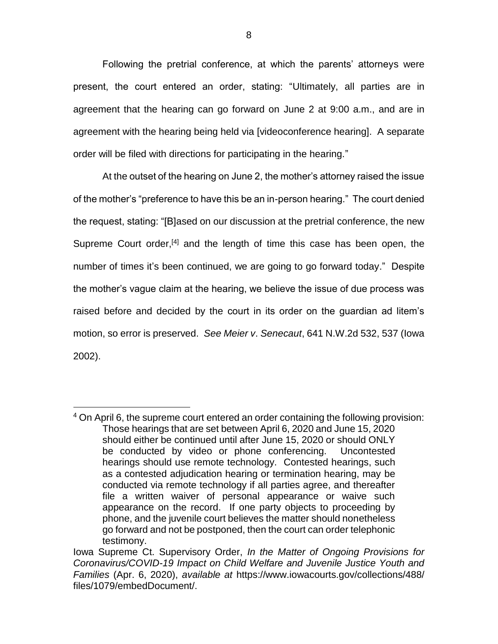Following the pretrial conference, at which the parents' attorneys were present, the court entered an order, stating: "Ultimately, all parties are in agreement that the hearing can go forward on June 2 at 9:00 a.m., and are in agreement with the hearing being held via [videoconference hearing]. A separate order will be filed with directions for participating in the hearing."

At the outset of the hearing on June 2, the mother's attorney raised the issue of the mother's "preference to have this be an in-person hearing." The court denied the request, stating: "[B]ased on our discussion at the pretrial conference, the new Supreme Court order,<sup>[4]</sup> and the length of time this case has been open, the number of times it's been continued, we are going to go forward today." Despite the mother's vague claim at the hearing, we believe the issue of due process was raised before and decided by the court in its order on the guardian ad litem's motion, so error is preserved. *See Meier v*. *Senecaut*, 641 N.W.2d 532, 537 (Iowa 2002).

 $\overline{a}$ <sup>4</sup> On April 6, the supreme court entered an order containing the following provision: Those hearings that are set between April 6, 2020 and June 15, 2020 should either be continued until after June 15, 2020 or should ONLY be conducted by video or phone conferencing. Uncontested hearings should use remote technology. Contested hearings, such as a contested adjudication hearing or termination hearing, may be conducted via remote technology if all parties agree, and thereafter file a written waiver of personal appearance or waive such appearance on the record. If one party objects to proceeding by phone, and the juvenile court believes the matter should nonetheless go forward and not be postponed, then the court can order telephonic testimony.

Iowa Supreme Ct. Supervisory Order, *In the Matter of Ongoing Provisions for Coronavirus/COVID-19 Impact on Child Welfare and Juvenile Justice Youth and Families* (Apr. 6, 2020), *available at* https://www.iowacourts.gov/collections/488/ files/1079/embedDocument/.